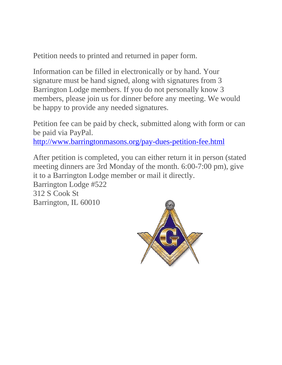Petition needs to printed and returned in paper form.

Information can be filled in electronically or by hand. Your signature must be hand signed, along with signatures from 3 Barrington Lodge members. If you do not personally know 3 members, please join us for dinner before any meeting. We would be happy to provide any needed signatures.

Petition fee can be paid by check, submitted along with form or can be paid via PayPal.

<http://www.barringtonmasons.org/pay-dues-petition-fee.html>

After petition is completed, you can either return it in person (stated meeting dinners are 3rd Monday of the month. 6:00-7:00 pm), give it to a Barrington Lodge member or mail it directly. Barrington Lodge #522 312 S Cook St Barrington, IL 60010

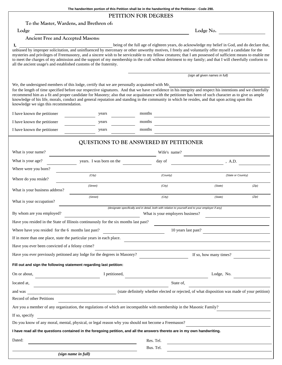**PETITION FOR DEGREES**

Lodge Lodge No.

## **Ancient Free and Accepted Masons:**

| Ι,<br>all the ancient usage's and established customs of the fraternity. | unbiased by improper solicitation, and uninfluenced by mercenary or other unworthy motives, I freely and voluntarily offer myself a candidate for the<br>mysteries and privileges of Freemasonry, and a sincere wish to be serviceable to my fellow creatures; that I am possessed of sufficient means to enable me<br>to meet the charges of my admission and the support of my membership in the craft without detriment to my family; and that I will cheerfully conform to                                                                                             |                                                                                                    | being of the full age of eighteen years, do acknowledge my belief in God, and do declare that, |                    |  |
|--------------------------------------------------------------------------|----------------------------------------------------------------------------------------------------------------------------------------------------------------------------------------------------------------------------------------------------------------------------------------------------------------------------------------------------------------------------------------------------------------------------------------------------------------------------------------------------------------------------------------------------------------------------|----------------------------------------------------------------------------------------------------|------------------------------------------------------------------------------------------------|--------------------|--|
|                                                                          |                                                                                                                                                                                                                                                                                                                                                                                                                                                                                                                                                                            | (sign all given names in full)                                                                     |                                                                                                |                    |  |
| knowledge we sign this recommendation.                                   | We, the undersigned members of this lodge, certify that we are personally acquainted with Mr.<br>for the length of time specified before our respective signatures. And that we have confidence in his integrity and respect his intentions and we cheerfully<br>recommend him as a fit and proper candidate for Masonry; also that our acquaintance with the petitioner has been of such character as to give us ample<br>knowledge of his life, morals, conduct and general reputation and standing in the community in which he resides, and that upon acting upon this |                                                                                                    |                                                                                                |                    |  |
| I have known the petitioner                                              | years                                                                                                                                                                                                                                                                                                                                                                                                                                                                                                                                                                      | months                                                                                             |                                                                                                |                    |  |
| I have known the petitioner                                              | years                                                                                                                                                                                                                                                                                                                                                                                                                                                                                                                                                                      | months                                                                                             |                                                                                                |                    |  |
| I have known the petitioner                                              | years                                                                                                                                                                                                                                                                                                                                                                                                                                                                                                                                                                      | months                                                                                             |                                                                                                |                    |  |
|                                                                          | QUESTIONS TO BE ANSWERED BY PETITIONER                                                                                                                                                                                                                                                                                                                                                                                                                                                                                                                                     |                                                                                                    |                                                                                                |                    |  |
| What is your name?                                                       |                                                                                                                                                                                                                                                                                                                                                                                                                                                                                                                                                                            | Wife's name?                                                                                       |                                                                                                |                    |  |
| What is your age?                                                        | years. I was born on the                                                                                                                                                                                                                                                                                                                                                                                                                                                                                                                                                   | day of                                                                                             |                                                                                                | , A.D.             |  |
| Where were you born?                                                     |                                                                                                                                                                                                                                                                                                                                                                                                                                                                                                                                                                            |                                                                                                    |                                                                                                |                    |  |
| Where do you reside?                                                     | (City)                                                                                                                                                                                                                                                                                                                                                                                                                                                                                                                                                                     | (County)                                                                                           |                                                                                                | (State or Country) |  |
| What is your business address?                                           | (Street)                                                                                                                                                                                                                                                                                                                                                                                                                                                                                                                                                                   | (City)                                                                                             | (State)                                                                                        | (Zip)              |  |
| What is your occupation?                                                 | (Street)                                                                                                                                                                                                                                                                                                                                                                                                                                                                                                                                                                   | (City)                                                                                             | (State)                                                                                        | (Zip)              |  |
|                                                                          |                                                                                                                                                                                                                                                                                                                                                                                                                                                                                                                                                                            | (designate specifically and in detail, both with relation to yourself and to your employer if any) |                                                                                                |                    |  |
| By whom are you employed?                                                |                                                                                                                                                                                                                                                                                                                                                                                                                                                                                                                                                                            | What is your employers business?                                                                   |                                                                                                |                    |  |
|                                                                          | Have you resided in the State of Illinois continuously for the six months last past?                                                                                                                                                                                                                                                                                                                                                                                                                                                                                       |                                                                                                    |                                                                                                |                    |  |
| Where have you resided for the 6 months last past?                       |                                                                                                                                                                                                                                                                                                                                                                                                                                                                                                                                                                            |                                                                                                    | 10 years last past?                                                                            |                    |  |
| If in more than one place, state the particular years in each place.     |                                                                                                                                                                                                                                                                                                                                                                                                                                                                                                                                                                            |                                                                                                    |                                                                                                |                    |  |
| Have you ever been convicted of a felony crime?                          |                                                                                                                                                                                                                                                                                                                                                                                                                                                                                                                                                                            |                                                                                                    |                                                                                                |                    |  |
| Have you ever previously petitoned any lodge for the degrees in Masonry? |                                                                                                                                                                                                                                                                                                                                                                                                                                                                                                                                                                            | If so, how many times?                                                                             |                                                                                                |                    |  |
| Fill out and sign the following statement regarding last petition:       |                                                                                                                                                                                                                                                                                                                                                                                                                                                                                                                                                                            |                                                                                                    |                                                                                                |                    |  |
| On or about,                                                             | I petitioned,                                                                                                                                                                                                                                                                                                                                                                                                                                                                                                                                                              |                                                                                                    | Lodge, No.                                                                                     |                    |  |
| located at,                                                              | <u> 1980 - Johann Barbara, martin amerikan basal dan berasal dalam basal dalam basal dalam basal dalam basal dala</u>                                                                                                                                                                                                                                                                                                                                                                                                                                                      | State of,                                                                                          |                                                                                                |                    |  |
| and was                                                                  | (state definitely whether elected or rejected, of what disposition was made of your petition)                                                                                                                                                                                                                                                                                                                                                                                                                                                                              |                                                                                                    |                                                                                                |                    |  |
| Record of other Petitions                                                |                                                                                                                                                                                                                                                                                                                                                                                                                                                                                                                                                                            |                                                                                                    |                                                                                                |                    |  |
|                                                                          | Are you a member of any organization, the regulations of which are incompatible with membership in the Masonic Family?                                                                                                                                                                                                                                                                                                                                                                                                                                                     |                                                                                                    |                                                                                                |                    |  |
| If so, specify                                                           |                                                                                                                                                                                                                                                                                                                                                                                                                                                                                                                                                                            |                                                                                                    |                                                                                                |                    |  |
|                                                                          | Do you know of any moral, mental, physical, or legal reason why you should not become a Freemason?                                                                                                                                                                                                                                                                                                                                                                                                                                                                         |                                                                                                    |                                                                                                |                    |  |
|                                                                          | I have read all the questions contained in the foregoing petition, and all the answers thereto are in my own handwriting.                                                                                                                                                                                                                                                                                                                                                                                                                                                  |                                                                                                    |                                                                                                |                    |  |
| Dated:                                                                   |                                                                                                                                                                                                                                                                                                                                                                                                                                                                                                                                                                            | Res. Tel.                                                                                          |                                                                                                |                    |  |
|                                                                          |                                                                                                                                                                                                                                                                                                                                                                                                                                                                                                                                                                            | Bus. Tel.                                                                                          |                                                                                                |                    |  |